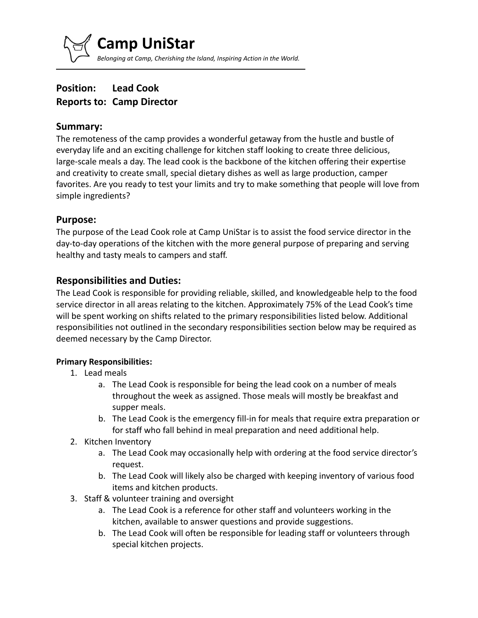**Camp UniStar** *Belonging at Camp, Cherishing the Island, Inspiring Action in the World.*

# **Position: Lead Cook Reports to: Camp Director**

#### **Summary:**

The remoteness of the camp provides a wonderful getaway from the hustle and bustle of everyday life and an exciting challenge for kitchen staff looking to create three delicious, large-scale meals a day. The lead cook is the backbone of the kitchen offering their expertise and creativity to create small, special dietary dishes as well as large production, camper favorites. Are you ready to test your limits and try to make something that people will love from simple ingredients?

### **Purpose:**

The purpose of the Lead Cook role at Camp UniStar is to assist the food service director in the day-to-day operations of the kitchen with the more general purpose of preparing and serving healthy and tasty meals to campers and staff.

# **Responsibilities and Duties:**

The Lead Cook is responsible for providing reliable, skilled, and knowledgeable help to the food service director in all areas relating to the kitchen. Approximately 75% of the Lead Cook's time will be spent working on shifts related to the primary responsibilities listed below. Additional responsibilities not outlined in the secondary responsibilities section below may be required as deemed necessary by the Camp Director.

#### **Primary Responsibilities:**

- 1. Lead meals
	- a. The Lead Cook is responsible for being the lead cook on a number of meals throughout the week as assigned. Those meals will mostly be breakfast and supper meals.
	- b. The Lead Cook is the emergency fill-in for meals that require extra preparation or for staff who fall behind in meal preparation and need additional help.
- 2. Kitchen Inventory
	- a. The Lead Cook may occasionally help with ordering at the food service director's request.
	- b. The Lead Cook will likely also be charged with keeping inventory of various food items and kitchen products.
- 3. Staff & volunteer training and oversight
	- a. The Lead Cook is a reference for other staff and volunteers working in the kitchen, available to answer questions and provide suggestions.
	- b. The Lead Cook will often be responsible for leading staff or volunteers through special kitchen projects.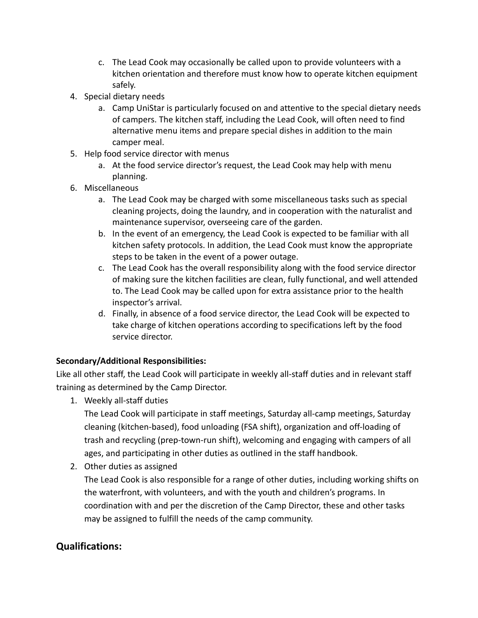- c. The Lead Cook may occasionally be called upon to provide volunteers with a kitchen orientation and therefore must know how to operate kitchen equipment safely.
- 4. Special dietary needs
	- a. Camp UniStar is particularly focused on and attentive to the special dietary needs of campers. The kitchen staff, including the Lead Cook, will often need to find alternative menu items and prepare special dishes in addition to the main camper meal.
- 5. Help food service director with menus
	- a. At the food service director's request, the Lead Cook may help with menu planning.
- 6. Miscellaneous
	- a. The Lead Cook may be charged with some miscellaneous tasks such as special cleaning projects, doing the laundry, and in cooperation with the naturalist and maintenance supervisor, overseeing care of the garden.
	- b. In the event of an emergency, the Lead Cook is expected to be familiar with all kitchen safety protocols. In addition, the Lead Cook must know the appropriate steps to be taken in the event of a power outage.
	- c. The Lead Cook has the overall responsibility along with the food service director of making sure the kitchen facilities are clean, fully functional, and well attended to. The Lead Cook may be called upon for extra assistance prior to the health inspector's arrival.
	- d. Finally, in absence of a food service director, the Lead Cook will be expected to take charge of kitchen operations according to specifications left by the food service director.

#### **Secondary/Additional Responsibilities:**

Like all other staff, the Lead Cook will participate in weekly all-staff duties and in relevant staff training as determined by the Camp Director.

1. Weekly all-staff duties

The Lead Cook will participate in staff meetings, Saturday all-camp meetings, Saturday cleaning (kitchen-based), food unloading (FSA shift), organization and off-loading of trash and recycling (prep-town-run shift), welcoming and engaging with campers of all ages, and participating in other duties as outlined in the staff handbook.

2. Other duties as assigned

The Lead Cook is also responsible for a range of other duties, including working shifts on the waterfront, with volunteers, and with the youth and children's programs. In coordination with and per the discretion of the Camp Director, these and other tasks may be assigned to fulfill the needs of the camp community.

# **Qualifications:**